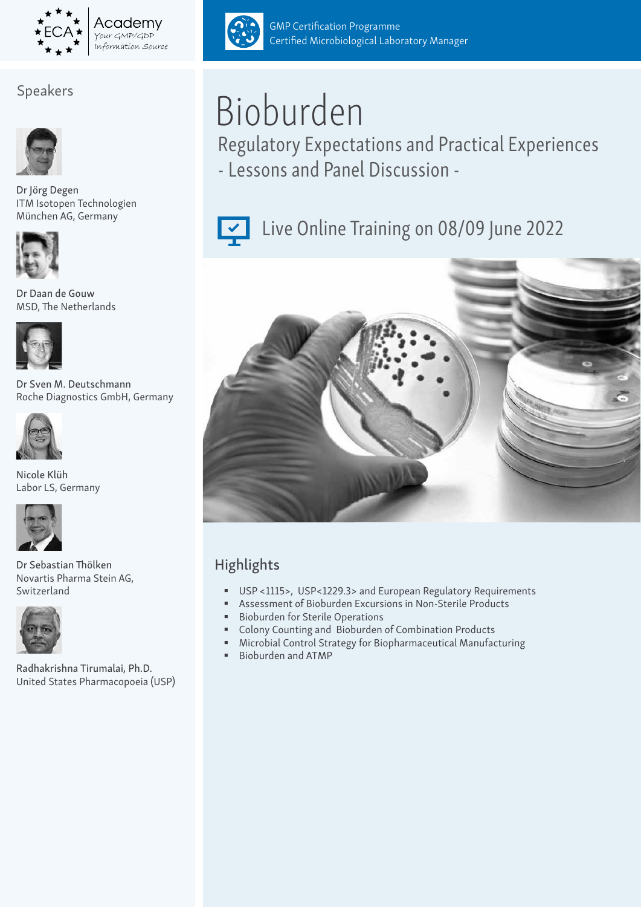

## Speakers



Dr Jörg Degen ITM Isotopen Technologien München AG, Germany



Dr Daan de Gouw MSD, The Netherlands



Dr Sven M. Deutschmann Roche Diagnostics GmbH, Germany



Nicole Klüh Labor LS, Germany



Dr Sebastian Thölken Novartis Pharma Stein AG, Switzerland



Radhakrishna Tirumalai, Ph.D. United States Pharmacopoeia (USP)



GMP Certification Programme Certified Microbiological Laboratory Manager

# Bioburden

Regulatory Expectations and Practical Experiences - Lessons and Panel Discussion -



# Live Online Training on 08/09 June 2022



## Highlights

- USP <1115>, USP<1229.3> and European Regulatory Requirements
- Assessment of Bioburden Excursions in Non-Sterile Products
- Bioburden for Sterile Operations
- Colony Counting and Bioburden of Combination Products
- Microbial Control Strategy for Biopharmaceutical Manufacturing
- Bioburden and ATMP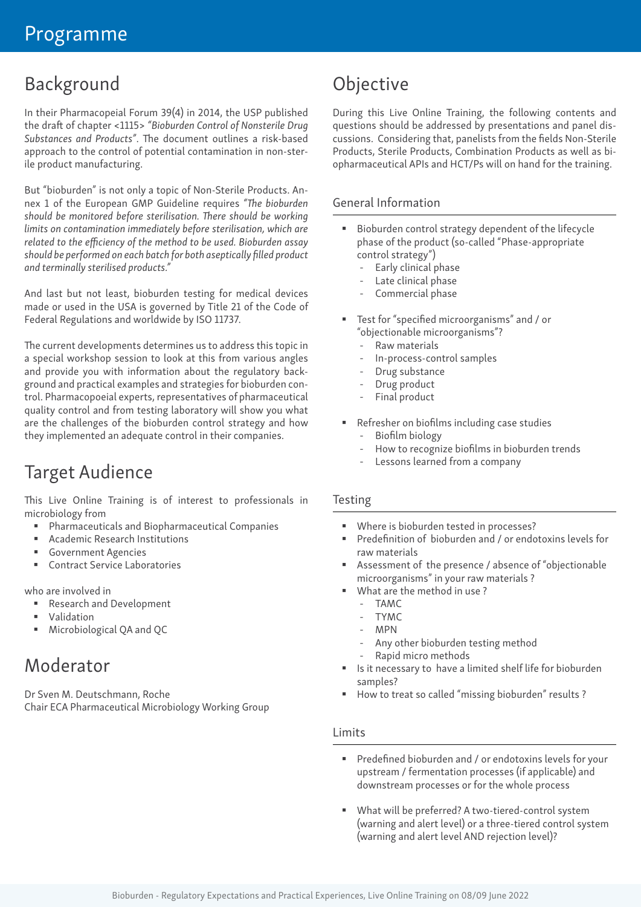# Background

In their Pharmacopeial Forum 39(4) in 2014, the USP published the draft of chapter <1115> *"Bioburden Control of Nonsterile Drug Substances and Products"*. The document outlines a risk-based approach to the control of potential contamination in non-sterile product manufacturing.

But "bioburden" is not only a topic of Non-Sterile Products. Annex 1 of the European GMP Guideline requires *"The bioburden should be monitored before sterilisation. There should be working limits on contamination immediately before sterilisation, which are related to the efficiency of the method to be used. Bioburden assay should be performed on each batch for both aseptically filled product and terminally sterilised products."*

And last but not least, bioburden testing for medical devices made or used in the USA is governed by Title 21 of the Code of Federal Regulations and worldwide by ISO 11737.

The current developments determines us to address this topic in a special workshop session to look at this from various angles and provide you with information about the regulatory background and practical examples and strategies for bioburden control. Pharmacopoeial experts, representatives of pharmaceutical quality control and from testing laboratory will show you what are the challenges of the bioburden control strategy and how they implemented an adequate control in their companies.

# Target Audience

This Live Online Training is of interest to professionals in microbiology from

- Pharmaceuticals and Biopharmaceutical Companies
- Academic Research Institutions
- Government Agencies
- Contract Service Laboratories

who are involved in

- Research and Development
- **Validation**
- Microbiological QA and QC

# Moderator

Dr Sven M. Deutschmann, Roche Chair ECA Pharmaceutical Microbiology Working Group

# Objective

During this Live Online Training, the following contents and questions should be addressed by presentations and panel discussions. Considering that, panelists from the fields Non-Sterile Products, Sterile Products, Combination Products as well as biopharmaceutical APIs and HCT/Ps will on hand for the training.

#### General Information

- Bioburden control strategy dependent of the lifecycle phase of the product (so-called "Phase-appropriate control strategy")
	- Early clinical phase
	- Late clinical phase
	- Commercial phase
- Test for "specified microorganisms" and / or "objectionable microorganisms"?
	- Raw materials
	- In-process-control samples
	- Drug substance
	- Drug product
	- Final product
- Refresher on biofilms including case studies
	- Biofilm biology
	- How to recognize biofilms in bioburden trends
	- Lessons learned from a company

#### Testing

- Where is bioburden tested in processes?
- Predefinition of bioburden and / or endotoxins levels for raw materials
- Assessment of the presence / absence of "objectionable microorganisms" in your raw materials ?
- What are the method in use ?
	- TAMC
	- TYMC
	- MPN
	- Any other bioburden testing method
	- Rapid micro methods
- Is it necessary to have a limited shelf life for bioburden samples?
- How to treat so called "missing bioburden" results ?

#### Limits

- Predefined bioburden and / or endotoxins levels for your upstream / fermentation processes (if applicable) and downstream processes or for the whole process
- What will be preferred? A two-tiered-control system (warning and alert level) or a three-tiered control system (warning and alert level AND rejection level)?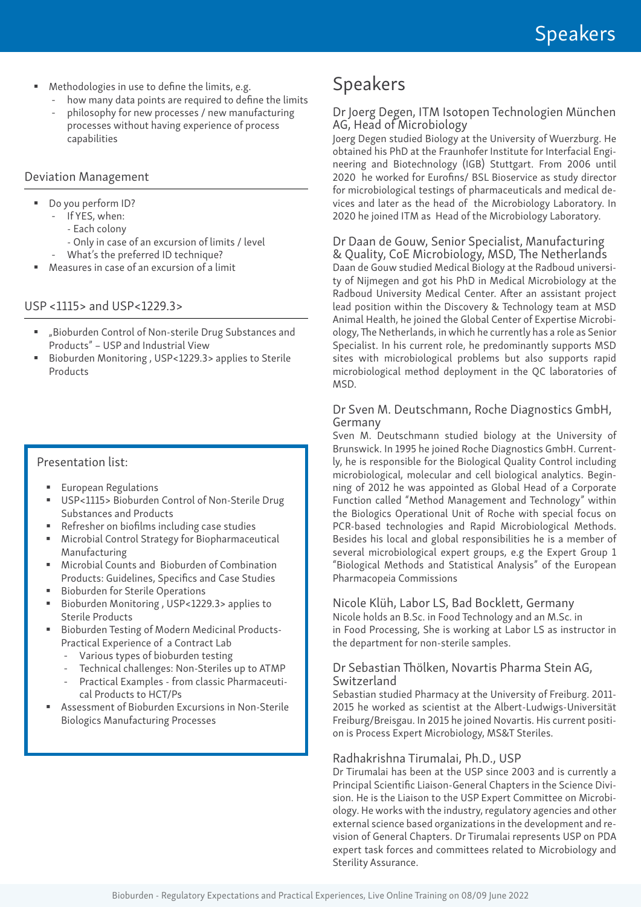- Methodologies in use to define the limits, e.g.
	- how many data points are required to define the limits
	- philosophy for new processes / new manufacturing processes without having experience of process capabilities

#### Deviation Management

- Do you perform ID?
	- If YES, when:
		- Each colony
		- Only in case of an excursion of limits / level
		- What's the preferred ID technique?
- Measures in case of an excursion of a limit

#### USP <1115> and USP<1229.3>

- "Bioburden Control of Non-sterile Drug Substances and Products" – USP and Industrial View
- Bioburden Monitoring , USP<1229.3> applies to Sterile Products

#### Presentation list:

- European Regulations
- USP<1115> Bioburden Control of Non-Sterile Drug Substances and Products
- Refresher on biofilms including case studies
- Microbial Control Strategy for Biopharmaceutical Manufacturing
- Microbial Counts and Bioburden of Combination Products: Guidelines, Specifics and Case Studies
- **Bioburden for Sterile Operations**
- Bioburden Monitoring, USP<1229.3> applies to Sterile Products
- Bioburden Testing of Modern Medicinal Products-Practical Experience of a Contract Lab
	- Various types of bioburden testing
	- Technical challenges: Non-Steriles up to ATMP
	- Practical Examples from classic Pharmaceutical Products to HCT/Ps
- Assessment of Bioburden Excursions in Non-Sterile Biologics Manufacturing Processes

# Speakers

#### Dr Joerg Degen, ITM Isotopen Technologien München AG, Head of Microbiology

Joerg Degen studied Biology at the University of Wuerzburg. He obtained his PhD at the Fraunhofer Institute for Interfacial Engineering and Biotechnology (IGB) Stuttgart. From 2006 until 2020 he worked for Eurofins/ BSL Bioservice as study director for microbiological testings of pharmaceuticals and medical devices and later as the head of the Microbiology Laboratory. In 2020 he joined ITM as Head of the Microbiology Laboratory.

## Dr Daan de Gouw, Senior Specialist, Manufacturing

& Quality, CoE Microbiology, MSD, The Netherlands Daan de Gouw studied Medical Biology at the Radboud university of Nijmegen and got his PhD in Medical Microbiology at the Radboud University Medical Center. After an assistant project lead position within the Discovery & Technology team at MSD Animal Health, he joined the Global Center of Expertise Microbiology, The Netherlands, in which he currently has a role as Senior Specialist. In his current role, he predominantly supports MSD sites with microbiological problems but also supports rapid microbiological method deployment in the QC laboratories of MSD.

#### Dr Sven M. Deutschmann, Roche Diagnostics GmbH, Germany

Sven M. Deutschmann studied biology at the University of Brunswick. In 1995 he joined Roche Diagnostics GmbH. Currently, he is responsible for the Biological Quality Control including microbiological, molecular and cell biological analytics. Beginning of 2012 he was appointed as Global Head of a Corporate Function called "Method Management and Technology" within the Biologics Operational Unit of Roche with special focus on PCR-based technologies and Rapid Microbiological Methods. Besides his local and global responsibilities he is a member of several microbiological expert groups, e.g the Expert Group 1 "Biological Methods and Statistical Analysis" of the European Pharmacopeia Commissions

#### Nicole Klüh, Labor LS, Bad Bocklett, Germany

Nicole holds an B.Sc. in Food Technology and an M.Sc. in in Food Processing, She is working at Labor LS as instructor in the department for non-sterile samples.

#### Dr Sebastian Thölken, Novartis Pharma Stein AG, Switzerland

Sebastian studied Pharmacy at the University of Freiburg. 2011- 2015 he worked as scientist at the Albert-Ludwigs-Universität Freiburg/Breisgau. In 2015 he joined Novartis. His current position is Process Expert Microbiology, MS&T Steriles.

#### Radhakrishna Tirumalai, Ph.D., USP

Dr Tirumalai has been at the USP since 2003 and is currently a Principal Scientific Liaison-General Chapters in the Science Division. He is the Liaison to the USP Expert Committee on Microbiology. He works with the industry, regulatory agencies and other external science based organizations in the development and revision of General Chapters. Dr Tirumalai represents USP on PDA expert task forces and committees related to Microbiology and Sterility Assurance.